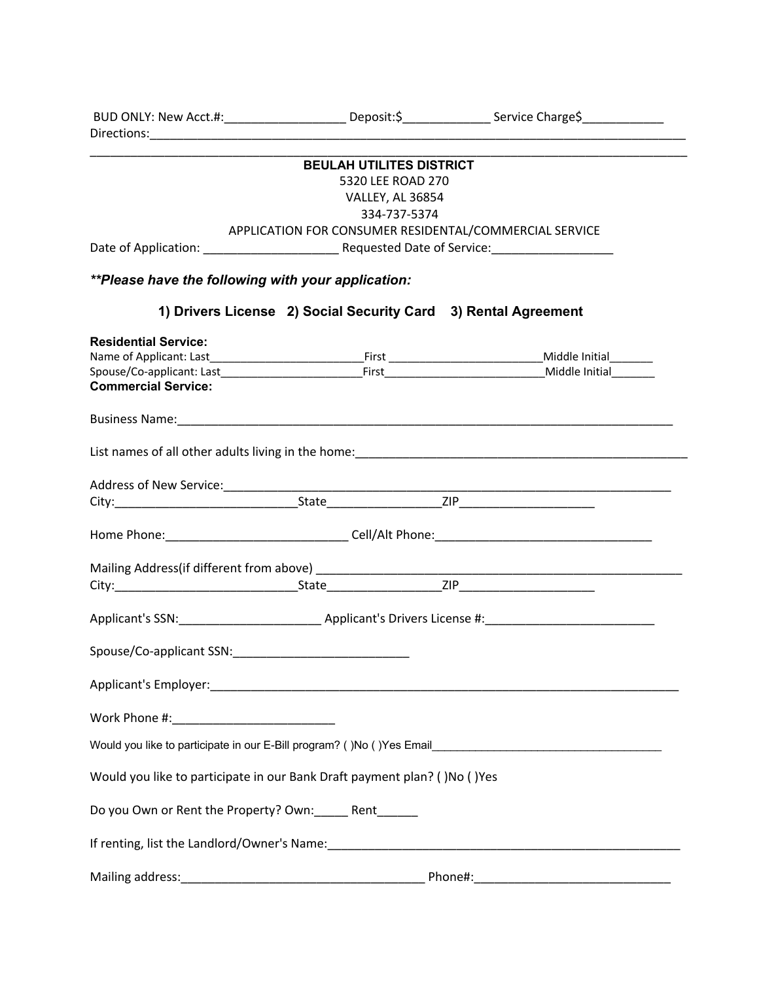|                                                                          |                                  | BUD ONLY: New Acct.#:_________________________Deposit:\$__________________Service Charge\$_________________ |
|--------------------------------------------------------------------------|----------------------------------|-------------------------------------------------------------------------------------------------------------|
|                                                                          |                                  |                                                                                                             |
|                                                                          | <b>BEULAH UTILITES DISTRICT</b>  |                                                                                                             |
|                                                                          | 5320 LEE ROAD 270                |                                                                                                             |
|                                                                          | VALLEY, AL 36854<br>334-737-5374 |                                                                                                             |
|                                                                          |                                  | APPLICATION FOR CONSUMER RESIDENTAL/COMMERCIAL SERVICE                                                      |
|                                                                          |                                  |                                                                                                             |
|                                                                          |                                  |                                                                                                             |
| **Please have the following with your application:                       |                                  |                                                                                                             |
|                                                                          |                                  | 1) Drivers License 2) Social Security Card 3) Rental Agreement                                              |
| <b>Residential Service:</b>                                              |                                  |                                                                                                             |
|                                                                          |                                  |                                                                                                             |
| <b>Commercial Service:</b>                                               |                                  |                                                                                                             |
|                                                                          |                                  |                                                                                                             |
|                                                                          |                                  |                                                                                                             |
|                                                                          |                                  |                                                                                                             |
|                                                                          |                                  |                                                                                                             |
|                                                                          |                                  |                                                                                                             |
|                                                                          |                                  |                                                                                                             |
|                                                                          |                                  |                                                                                                             |
|                                                                          |                                  |                                                                                                             |
|                                                                          |                                  |                                                                                                             |
|                                                                          |                                  |                                                                                                             |
|                                                                          |                                  |                                                                                                             |
|                                                                          |                                  |                                                                                                             |
| Applicant's Employer: Applicant of Employer:                             |                                  |                                                                                                             |
|                                                                          |                                  |                                                                                                             |
|                                                                          |                                  |                                                                                                             |
|                                                                          |                                  | Would you like to participate in our E-Bill program? ()No ()Yes Email______________________________         |
| Would you like to participate in our Bank Draft payment plan? ()No ()Yes |                                  |                                                                                                             |
| Do you Own or Rent the Property? Own: Rent                               |                                  |                                                                                                             |
|                                                                          |                                  |                                                                                                             |
|                                                                          |                                  |                                                                                                             |
|                                                                          |                                  |                                                                                                             |